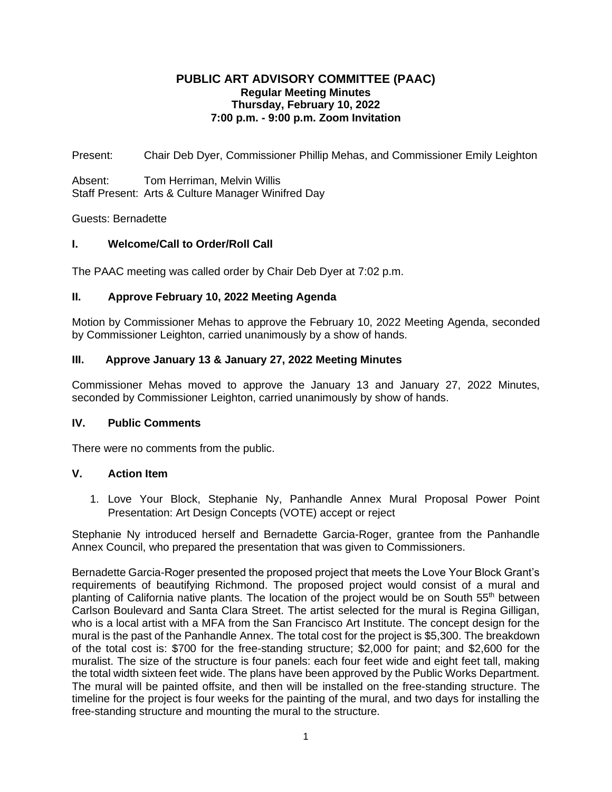#### **PUBLIC ART ADVISORY COMMITTEE (PAAC) Regular Meeting Minutes Thursday, February 10, 2022 7:00 p.m. - 9:00 p.m. Zoom Invitation**

Present: Chair Deb Dyer, Commissioner Phillip Mehas, and Commissioner Emily Leighton

Absent: Tom Herriman, Melvin Willis Staff Present: Arts & Culture Manager Winifred Day

## Guests: Bernadette

# **I. Welcome/Call to Order/Roll Call**

The PAAC meeting was called order by Chair Deb Dyer at 7:02 p.m.

# **II. Approve February 10, 2022 Meeting Agenda**

Motion by Commissioner Mehas to approve the February 10, 2022 Meeting Agenda, seconded by Commissioner Leighton, carried unanimously by a show of hands.

## **III. Approve January 13 & January 27, 2022 Meeting Minutes**

Commissioner Mehas moved to approve the January 13 and January 27, 2022 Minutes, seconded by Commissioner Leighton, carried unanimously by show of hands.

## **IV. Public Comments**

There were no comments from the public.

## **V. Action Item**

1. Love Your Block, Stephanie Ny, Panhandle Annex Mural Proposal Power Point Presentation: Art Design Concepts (VOTE) accept or reject

Stephanie Ny introduced herself and Bernadette Garcia-Roger, grantee from the Panhandle Annex Council, who prepared the presentation that was given to Commissioners.

Bernadette Garcia-Roger presented the proposed project that meets the Love Your Block Grant's requirements of beautifying Richmond. The proposed project would consist of a mural and planting of California native plants. The location of the project would be on South 55th between Carlson Boulevard and Santa Clara Street. The artist selected for the mural is Regina Gilligan, who is a local artist with a MFA from the San Francisco Art Institute. The concept design for the mural is the past of the Panhandle Annex. The total cost for the project is \$5,300. The breakdown of the total cost is: \$700 for the free-standing structure; \$2,000 for paint; and \$2,600 for the muralist. The size of the structure is four panels: each four feet wide and eight feet tall, making the total width sixteen feet wide. The plans have been approved by the Public Works Department. The mural will be painted offsite, and then will be installed on the free-standing structure. The timeline for the project is four weeks for the painting of the mural, and two days for installing the free-standing structure and mounting the mural to the structure.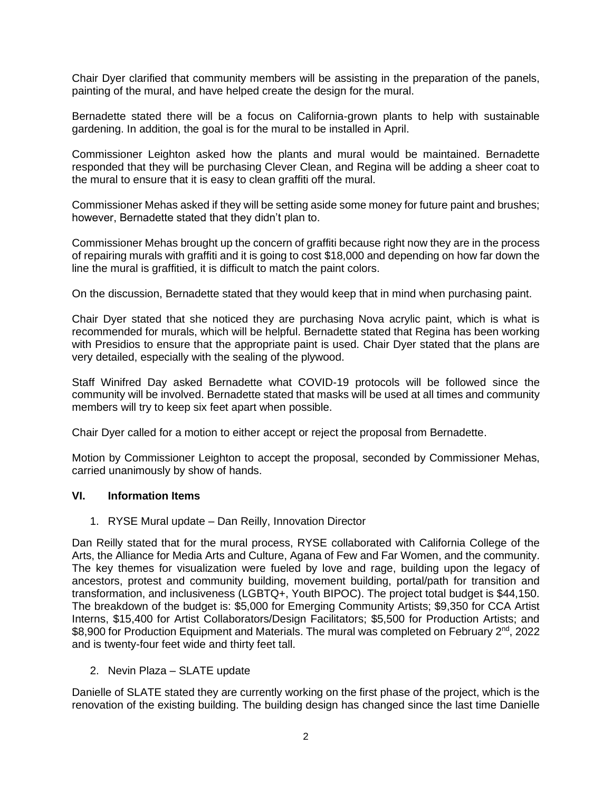Chair Dyer clarified that community members will be assisting in the preparation of the panels, painting of the mural, and have helped create the design for the mural.

Bernadette stated there will be a focus on California-grown plants to help with sustainable gardening. In addition, the goal is for the mural to be installed in April.

Commissioner Leighton asked how the plants and mural would be maintained. Bernadette responded that they will be purchasing Clever Clean, and Regina will be adding a sheer coat to the mural to ensure that it is easy to clean graffiti off the mural.

Commissioner Mehas asked if they will be setting aside some money for future paint and brushes; however, Bernadette stated that they didn't plan to.

Commissioner Mehas brought up the concern of graffiti because right now they are in the process of repairing murals with graffiti and it is going to cost \$18,000 and depending on how far down the line the mural is graffitied, it is difficult to match the paint colors.

On the discussion, Bernadette stated that they would keep that in mind when purchasing paint.

Chair Dyer stated that she noticed they are purchasing Nova acrylic paint, which is what is recommended for murals, which will be helpful. Bernadette stated that Regina has been working with Presidios to ensure that the appropriate paint is used. Chair Dyer stated that the plans are very detailed, especially with the sealing of the plywood.

Staff Winifred Day asked Bernadette what COVID-19 protocols will be followed since the community will be involved. Bernadette stated that masks will be used at all times and community members will try to keep six feet apart when possible.

Chair Dyer called for a motion to either accept or reject the proposal from Bernadette.

Motion by Commissioner Leighton to accept the proposal, seconded by Commissioner Mehas, carried unanimously by show of hands.

#### **VI. Information Items**

1. RYSE Mural update – Dan Reilly, Innovation Director

Dan Reilly stated that for the mural process, RYSE collaborated with California College of the Arts, the Alliance for Media Arts and Culture, Agana of Few and Far Women, and the community. The key themes for visualization were fueled by love and rage, building upon the legacy of ancestors, protest and community building, movement building, portal/path for transition and transformation, and inclusiveness (LGBTQ+, Youth BIPOC). The project total budget is \$44,150. The breakdown of the budget is: \$5,000 for Emerging Community Artists; \$9,350 for CCA Artist Interns, \$15,400 for Artist Collaborators/Design Facilitators; \$5,500 for Production Artists; and \$8,900 for Production Equipment and Materials. The mural was completed on February 2<sup>nd</sup>, 2022 and is twenty-four feet wide and thirty feet tall.

2. Nevin Plaza – SLATE update

Danielle of SLATE stated they are currently working on the first phase of the project, which is the renovation of the existing building. The building design has changed since the last time Danielle